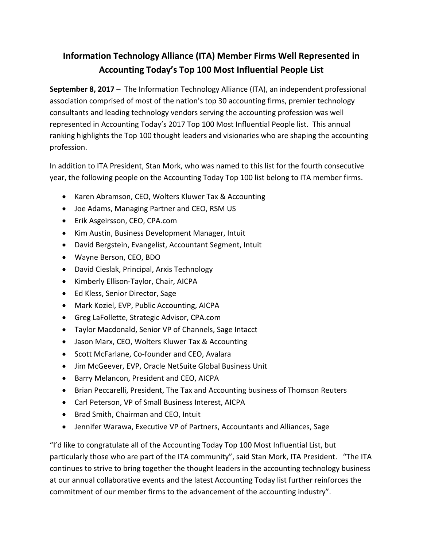## **Information Technology Alliance (ITA) Member Firms Well Represented in Accounting Today's Top 100 Most Influential People List**

**September 8, 2017** – The Information Technology Alliance (ITA), an independent professional association comprised of most of the nation's top 30 accounting firms, premier technology consultants and leading technology vendors serving the accounting profession was well represented in Accounting Today's 2017 Top 100 Most Influential People list. This annual ranking highlights the Top 100 thought leaders and visionaries who are shaping the accounting profession.

In addition to ITA President, Stan Mork, who was named to this list for the fourth consecutive year, the following people on the Accounting Today Top 100 list belong to ITA member firms.

- Karen Abramson, CEO, Wolters Kluwer Tax & Accounting
- Joe Adams, Managing Partner and CEO, RSM US
- Erik Asgeirsson, CEO, CPA.com
- Kim Austin, Business Development Manager, Intuit
- David Bergstein, Evangelist, Accountant Segment, Intuit
- Wayne Berson, CEO, BDO
- David Cieslak, Principal, Arxis Technology
- Kimberly Ellison-Taylor, Chair, AICPA
- Ed Kless, Senior Director, Sage
- Mark Koziel, EVP, Public Accounting, AICPA
- Greg LaFollette, Strategic Advisor, CPA.com
- Taylor Macdonald, Senior VP of Channels, Sage Intacct
- Jason Marx, CEO, Wolters Kluwer Tax & Accounting
- Scott McFarlane, Co-founder and CEO, Avalara
- Jim McGeever, EVP, Oracle NetSuite Global Business Unit
- Barry Melancon, President and CEO, AICPA
- Brian Peccarelli, President, The Tax and Accounting business of Thomson Reuters
- Carl Peterson, VP of Small Business Interest, AICPA
- Brad Smith, Chairman and CEO, Intuit
- Jennifer Warawa, Executive VP of Partners, Accountants and Alliances, Sage

"I'd like to congratulate all of the Accounting Today Top 100 Most Influential List, but particularly those who are part of the ITA community", said Stan Mork, ITA President. "The ITA continues to strive to bring together the thought leaders in the accounting technology business at our annual collaborative events and the latest Accounting Today list further reinforces the commitment of our member firms to the advancement of the accounting industry".